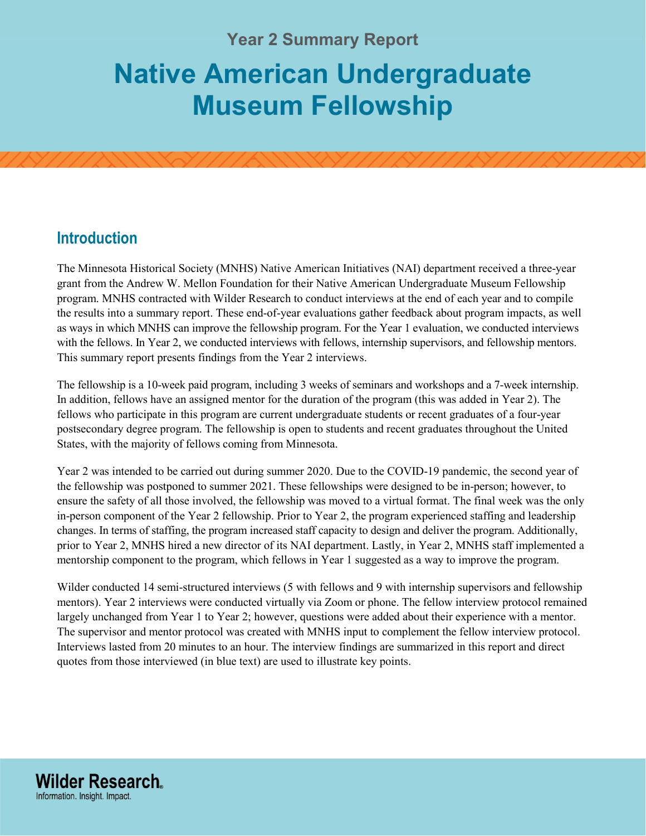# **Year 2 Summary Report Native American Undergraduate Museum Fellowship**

## **Introduction**

**Wilder Research.** Information. Insight. Impact.

The Minnesota Historical Society (MNHS) Native American Initiatives (NAI) department received a three-year grant from the Andrew W. Mellon Foundation for their Native American Undergraduate Museum Fellowship program. MNHS contracted with Wilder Research to conduct interviews at the end of each year and to compile the results into a summary report. These end-of-year evaluations gather feedback about program impacts, as well as ways in which MNHS can improve the fellowship program. For the Year 1 evaluation, we conducted interviews with the fellows. In Year 2, we conducted interviews with fellows, internship supervisors, and fellowship mentors. This summary report presents findings from the Year 2 interviews.

The fellowship is a 10-week paid program, including 3 weeks of seminars and workshops and a 7-week internship. In addition, fellows have an assigned mentor for the duration of the program (this was added in Year 2). The fellows who participate in this program are current undergraduate students or recent graduates of a four-year postsecondary degree program. The fellowship is open to students and recent graduates throughout the United States, with the majority of fellows coming from Minnesota.

Year 2 was intended to be carried out during summer 2020. Due to the COVID-19 pandemic, the second year of the fellowship was postponed to summer 2021. These fellowships were designed to be in-person; however, to ensure the safety of all those involved, the fellowship was moved to a virtual format. The final week was the only in-person component of the Year 2 fellowship. Prior to Year 2, the program experienced staffing and leadership changes. In terms of staffing, the program increased staff capacity to design and deliver the program. Additionally, prior to Year 2, MNHS hired a new director of its NAI department. Lastly, in Year 2, MNHS staff implemented a mentorship component to the program, which fellows in Year 1 suggested as a way to improve the program.

Wilder conducted 14 semi-structured interviews (5 with fellows and 9 with internship supervisors and fellowship mentors). Year 2 interviews were conducted virtually via Zoom or phone. The fellow interview protocol remained largely unchanged from Year 1 to Year 2; however, questions were added about their experience with a mentor. The supervisor and mentor protocol was created with MNHS input to complement the fellow interview protocol. Interviews lasted from 20 minutes to an hour. The interview findings are summarized in this report and direct quotes from those interviewed (in blue text) are used to illustrate key points.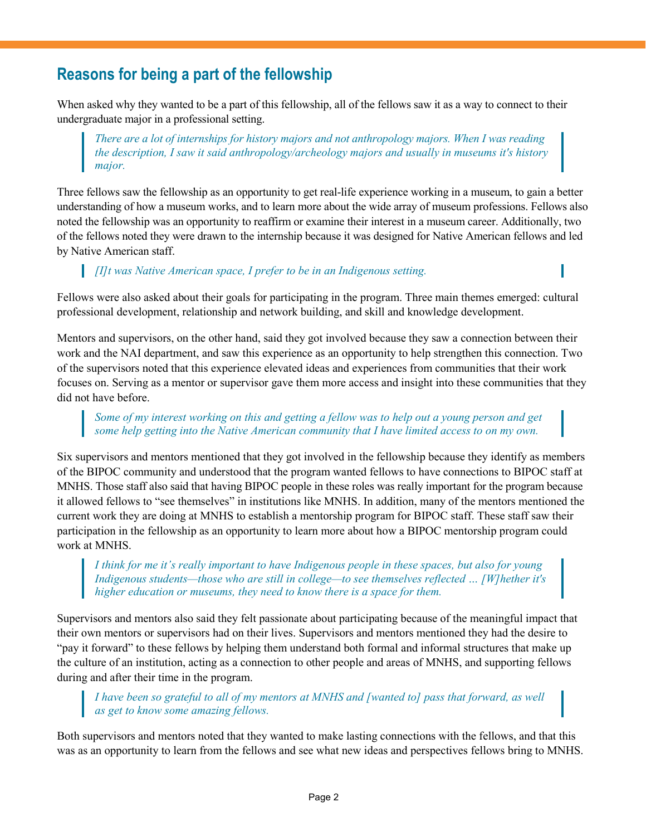## **Reasons for being a part of the fellowship**

When asked why they wanted to be a part of this fellowship, all of the fellows saw it as a way to connect to their undergraduate major in a professional setting.

*There are a lot of internships for history majors and not anthropology majors. When I was reading the description, I saw it said anthropology/archeology majors and usually in museums it's history major.*

Three fellows saw the fellowship as an opportunity to get real-life experience working in a museum, to gain a better understanding of how a museum works, and to learn more about the wide array of museum professions. Fellows also noted the fellowship was an opportunity to reaffirm or examine their interest in a museum career. Additionally, two of the fellows noted they were drawn to the internship because it was designed for Native American fellows and led by Native American staff.

*[I]t was Native American space, I prefer to be in an Indigenous setting.*

Fellows were also asked about their goals for participating in the program. Three main themes emerged: cultural professional development, relationship and network building, and skill and knowledge development.

Mentors and supervisors, on the other hand, said they got involved because they saw a connection between their work and the NAI department, and saw this experience as an opportunity to help strengthen this connection. Two of the supervisors noted that this experience elevated ideas and experiences from communities that their work focuses on. Serving as a mentor or supervisor gave them more access and insight into these communities that they did not have before.

#### *Some of my interest working on this and getting a fellow was to help out a young person and get some help getting into the Native American community that I have limited access to on my own.*

Six supervisors and mentors mentioned that they got involved in the fellowship because they identify as members of the BIPOC community and understood that the program wanted fellows to have connections to BIPOC staff at MNHS. Those staff also said that having BIPOC people in these roles was really important for the program because it allowed fellows to "see themselves" in institutions like MNHS. In addition, many of the mentors mentioned the current work they are doing at MNHS to establish a mentorship program for BIPOC staff. These staff saw their participation in the fellowship as an opportunity to learn more about how a BIPOC mentorship program could work at MNHS.

*I think for me it's really important to have Indigenous people in these spaces, but also for young Indigenous students—those who are still in college—to see themselves reflected … [W]hether it's higher education or museums, they need to know there is a space for them.*

Supervisors and mentors also said they felt passionate about participating because of the meaningful impact that their own mentors or supervisors had on their lives. Supervisors and mentors mentioned they had the desire to "pay it forward" to these fellows by helping them understand both formal and informal structures that make up the culture of an institution, acting as a connection to other people and areas of MNHS, and supporting fellows during and after their time in the program.

### *I have been so grateful to all of my mentors at MNHS and [wanted to] pass that forward, as well as get to know some amazing fellows.*

Both supervisors and mentors noted that they wanted to make lasting connections with the fellows, and that this was as an opportunity to learn from the fellows and see what new ideas and perspectives fellows bring to MNHS.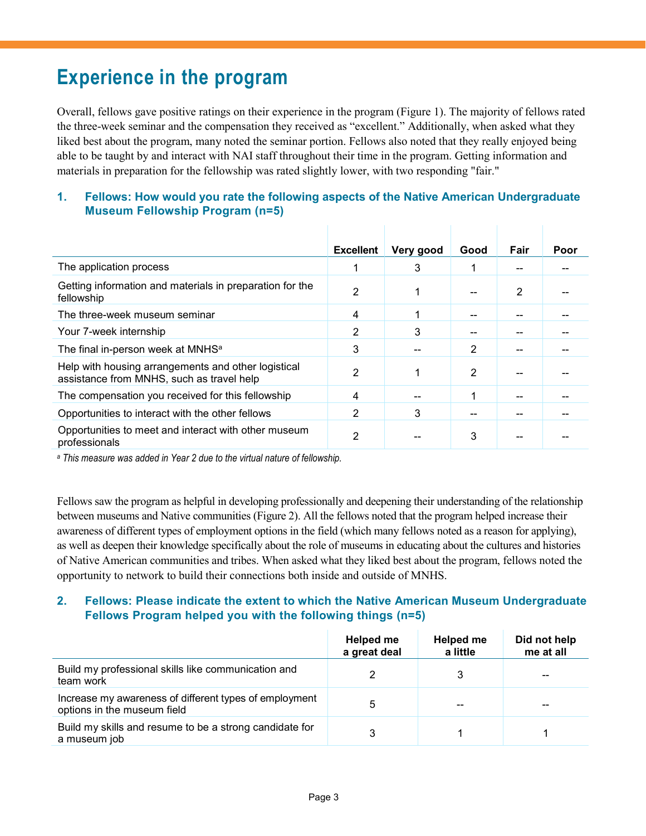## **Experience in the program**

Overall, fellows gave positive ratings on their experience in the program (Figure 1). The majority of fellows rated the three-week seminar and the compensation they received as "excellent." Additionally, when asked what they liked best about the program, many noted the seminar portion. Fellows also noted that they really enjoyed being able to be taught by and interact with NAI staff throughout their time in the program. Getting information and materials in preparation for the fellowship was rated slightly lower, with two responding "fair."

#### **1. Fellows: How would you rate the following aspects of the Native American Undergraduate Museum Fellowship Program (n=5)**

|                                                                                                  | <b>Excellent</b> | Very good | Good | Fair | Poor |
|--------------------------------------------------------------------------------------------------|------------------|-----------|------|------|------|
| The application process                                                                          |                  | 3         |      |      |      |
| Getting information and materials in preparation for the<br>fellowship                           | 2                | 1         | --   | 2    |      |
| The three-week museum seminar                                                                    | 4                | 1         |      |      |      |
| Your 7-week internship                                                                           | 2                | 3         |      |      |      |
| The final in-person week at MNHS <sup>a</sup>                                                    | 3                |           | 2    |      |      |
| Help with housing arrangements and other logistical<br>assistance from MNHS, such as travel help | 2                | 1         | 2    |      |      |
| The compensation you received for this fellowship                                                | 4                |           | 4    |      |      |
| Opportunities to interact with the other fellows                                                 | 2                | 3         |      |      |      |
| Opportunities to meet and interact with other museum<br>professionals                            | 2                |           | 3    |      |      |

*<sup>a</sup> This measure was added in Year 2 due to the virtual nature of fellowship.*

Fellows saw the program as helpful in developing professionally and deepening their understanding of the relationship between museums and Native communities (Figure 2). All the fellows noted that the program helped increase their awareness of different types of employment options in the field (which many fellows noted as a reason for applying), as well as deepen their knowledge specifically about the role of museums in educating about the cultures and histories of Native American communities and tribes. When asked what they liked best about the program, fellows noted the opportunity to network to build their connections both inside and outside of MNHS.

## **2. Fellows: Please indicate the extent to which the Native American Museum Undergraduate Fellows Program helped you with the following things (n=5)**

|                                                                                       | Helped me<br>a great deal | Helped me<br>a little | Did not help<br>me at all |
|---------------------------------------------------------------------------------------|---------------------------|-----------------------|---------------------------|
| Build my professional skills like communication and<br>team work                      |                           |                       | --                        |
| Increase my awareness of different types of employment<br>options in the museum field | 5                         | $-$                   | --                        |
| Build my skills and resume to be a strong candidate for<br>a museum job               |                           |                       |                           |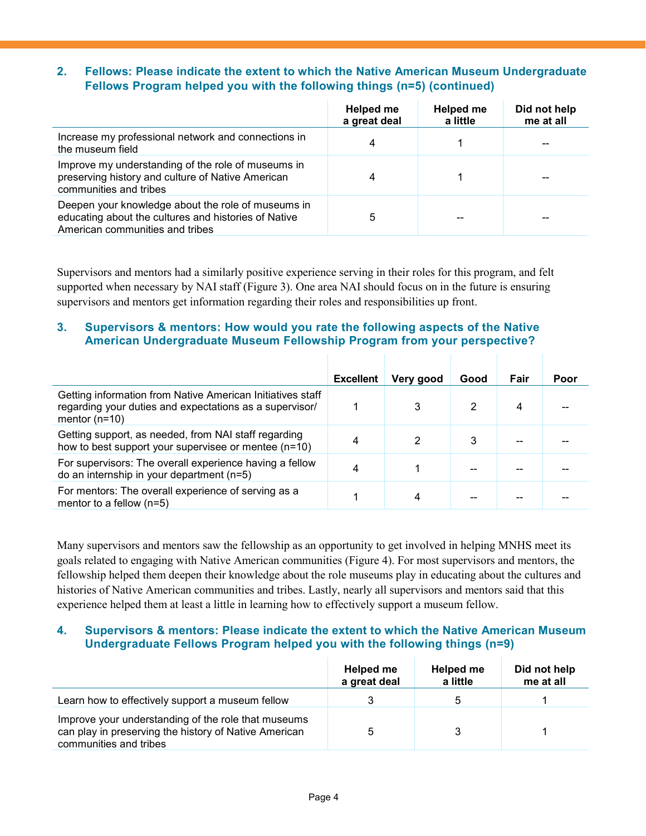### **2. Fellows: Please indicate the extent to which the Native American Museum Undergraduate Fellows Program helped you with the following things (n=5) (continued)**

|                                                                                                                                               | Helped me<br>a great deal | Helped me<br>a little | Did not help<br>me at all |
|-----------------------------------------------------------------------------------------------------------------------------------------------|---------------------------|-----------------------|---------------------------|
| Increase my professional network and connections in<br>the museum field                                                                       | 4                         |                       |                           |
| Improve my understanding of the role of museums in<br>preserving history and culture of Native American<br>communities and tribes             |                           |                       |                           |
| Deepen your knowledge about the role of museums in<br>educating about the cultures and histories of Native<br>American communities and tribes | 5                         |                       |                           |

Supervisors and mentors had a similarly positive experience serving in their roles for this program, and felt supported when necessary by NAI staff (Figure 3). One area NAI should focus on in the future is ensuring supervisors and mentors get information regarding their roles and responsibilities up front.

#### **3. Supervisors & mentors: How would you rate the following aspects of the Native American Undergraduate Museum Fellowship Program from your perspective?**

|                                                                                                                                          | <b>Excellent</b> | Very good | Good | Fair | Poor |
|------------------------------------------------------------------------------------------------------------------------------------------|------------------|-----------|------|------|------|
| Getting information from Native American Initiatives staff<br>regarding your duties and expectations as a supervisor/<br>mentor $(n=10)$ |                  | 3         | 2    |      |      |
| Getting support, as needed, from NAI staff regarding<br>how to best support your supervisee or mentee (n=10)                             | 4                |           | 3    |      |      |
| For supervisors: The overall experience having a fellow<br>do an internship in your department (n=5)                                     | 4                |           |      |      |      |
| For mentors: The overall experience of serving as a<br>mentor to a fellow $(n=5)$                                                        |                  |           |      |      |      |

Many supervisors and mentors saw the fellowship as an opportunity to get involved in helping MNHS meet its goals related to engaging with Native American communities (Figure 4). For most supervisors and mentors, the fellowship helped them deepen their knowledge about the role museums play in educating about the cultures and histories of Native American communities and tribes. Lastly, nearly all supervisors and mentors said that this experience helped them at least a little in learning how to effectively support a museum fellow.

#### **4. Supervisors & mentors: Please indicate the extent to which the Native American Museum Undergraduate Fellows Program helped you with the following things (n=9)**

|                                                                                                                                        | Helped me<br>a great deal | Helped me<br>a little | Did not help<br>me at all |
|----------------------------------------------------------------------------------------------------------------------------------------|---------------------------|-----------------------|---------------------------|
| Learn how to effectively support a museum fellow                                                                                       |                           | 5                     |                           |
| Improve your understanding of the role that museums<br>can play in preserving the history of Native American<br>communities and tribes |                           |                       |                           |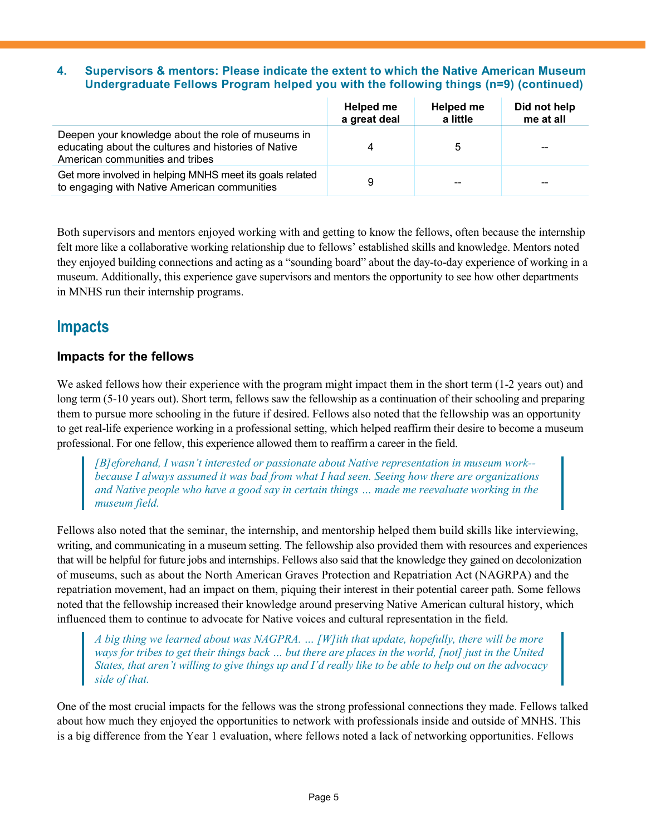#### **4. Supervisors & mentors: Please indicate the extent to which the Native American Museum Undergraduate Fellows Program helped you with the following things (n=9) (continued)**

|                                                                                                                                               | Helped me<br>a great deal | Helped me<br>a little | Did not help<br>me at all |
|-----------------------------------------------------------------------------------------------------------------------------------------------|---------------------------|-----------------------|---------------------------|
| Deepen your knowledge about the role of museums in<br>educating about the cultures and histories of Native<br>American communities and tribes | 4                         |                       | $\sim$ $\sim$             |
| Get more involved in helping MNHS meet its goals related<br>to engaging with Native American communities                                      | 9                         | $-$                   | $- -$                     |

Both supervisors and mentors enjoyed working with and getting to know the fellows, often because the internship felt more like a collaborative working relationship due to fellows' established skills and knowledge. Mentors noted they enjoyed building connections and acting as a "sounding board" about the day-to-day experience of working in a museum. Additionally, this experience gave supervisors and mentors the opportunity to see how other departments in MNHS run their internship programs.

## **Impacts**

## **Impacts for the fellows**

We asked fellows how their experience with the program might impact them in the short term (1-2 years out) and long term (5-10 years out). Short term, fellows saw the fellowship as a continuation of their schooling and preparing them to pursue more schooling in the future if desired. Fellows also noted that the fellowship was an opportunity to get real-life experience working in a professional setting, which helped reaffirm their desire to become a museum professional. For one fellow, this experience allowed them to reaffirm a career in the field.

*[B]eforehand, I wasn't interested or passionate about Native representation in museum work- because I always assumed it was bad from what I had seen. Seeing how there are organizations and Native people who have a good say in certain things … made me reevaluate working in the museum field.*

Fellows also noted that the seminar, the internship, and mentorship helped them build skills like interviewing, writing, and communicating in a museum setting. The fellowship also provided them with resources and experiences that will be helpful for future jobs and internships. Fellows also said that the knowledge they gained on decolonization of museums, such as about the North American Graves Protection and Repatriation Act (NAGRPA) and the repatriation movement, had an impact on them, piquing their interest in their potential career path. Some fellows noted that the fellowship increased their knowledge around preserving Native American cultural history, which influenced them to continue to advocate for Native voices and cultural representation in the field.

*A big thing we learned about was NAGPRA. … [W]ith that update, hopefully, there will be more ways for tribes to get their things back … but there are places in the world, [not] just in the United States, that aren't willing to give things up and I'd really like to be able to help out on the advocacy side of that.* 

One of the most crucial impacts for the fellows was the strong professional connections they made. Fellows talked about how much they enjoyed the opportunities to network with professionals inside and outside of MNHS. This is a big difference from the Year 1 evaluation, where fellows noted a lack of networking opportunities. Fellows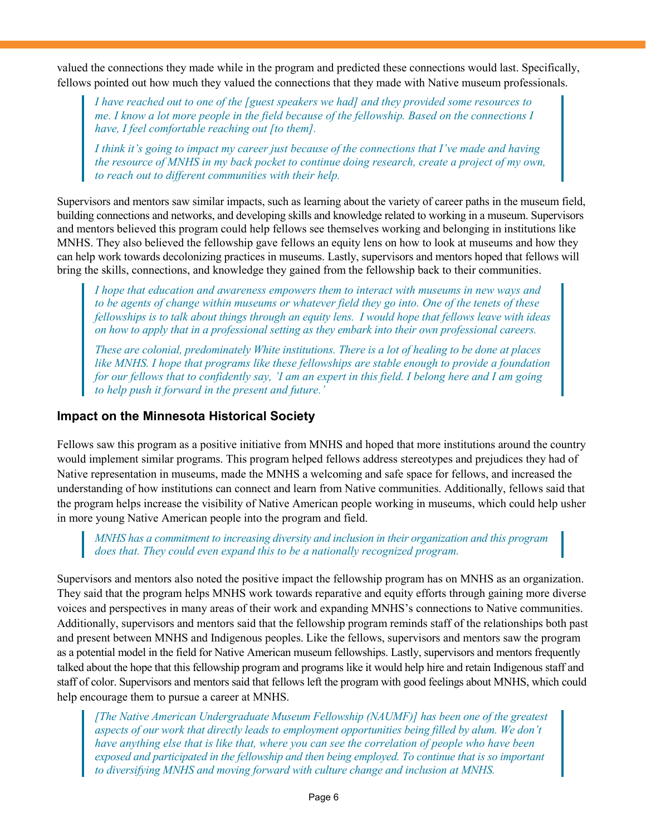valued the connections they made while in the program and predicted these connections would last. Specifically, fellows pointed out how much they valued the connections that they made with Native museum professionals.

*I have reached out to one of the [guest speakers we had] and they provided some resources to me. I know a lot more people in the field because of the fellowship. Based on the connections I have, I feel comfortable reaching out [to them].*

*I think it's going to impact my career just because of the connections that I've made and having the resource of MNHS in my back pocket to continue doing research, create a project of my own, to reach out to different communities with their help.*

Supervisors and mentors saw similar impacts, such as learning about the variety of career paths in the museum field, building connections and networks, and developing skills and knowledge related to working in a museum. Supervisors and mentors believed this program could help fellows see themselves working and belonging in institutions like MNHS. They also believed the fellowship gave fellows an equity lens on how to look at museums and how they can help work towards decolonizing practices in museums. Lastly, supervisors and mentors hoped that fellows will bring the skills, connections, and knowledge they gained from the fellowship back to their communities.

*I hope that education and awareness empowers them to interact with museums in new ways and to be agents of change within museums or whatever field they go into. One of the tenets of these fellowships is to talk about things through an equity lens. I would hope that fellows leave with ideas on how to apply that in a professional setting as they embark into their own professional careers.*

*These are colonial, predominately White institutions. There is a lot of healing to be done at places like MNHS. I hope that programs like these fellowships are stable enough to provide a foundation for our fellows that to confidently say, 'I am an expert in this field. I belong here and I am going to help push it forward in the present and future.'*

## **Impact on the Minnesota Historical Society**

Fellows saw this program as a positive initiative from MNHS and hoped that more institutions around the country would implement similar programs. This program helped fellows address stereotypes and prejudices they had of Native representation in museums, made the MNHS a welcoming and safe space for fellows, and increased the understanding of how institutions can connect and learn from Native communities. Additionally, fellows said that the program helps increase the visibility of Native American people working in museums, which could help usher in more young Native American people into the program and field.

*MNHS has a commitment to increasing diversity and inclusion in their organization and this program does that. They could even expand this to be a nationally recognized program.*

Supervisors and mentors also noted the positive impact the fellowship program has on MNHS as an organization. They said that the program helps MNHS work towards reparative and equity efforts through gaining more diverse voices and perspectives in many areas of their work and expanding MNHS's connections to Native communities. Additionally, supervisors and mentors said that the fellowship program reminds staff of the relationships both past and present between MNHS and Indigenous peoples. Like the fellows, supervisors and mentors saw the program as a potential model in the field for Native American museum fellowships. Lastly, supervisors and mentors frequently talked about the hope that this fellowship program and programs like it would help hire and retain Indigenous staff and staff of color. Supervisors and mentors said that fellows left the program with good feelings about MNHS, which could help encourage them to pursue a career at MNHS.

*[The Native American Undergraduate Museum Fellowship (NAUMF)] has been one of the greatest aspects of our work that directly leads to employment opportunities being filled by alum. We don't have anything else that is like that, where you can see the correlation of people who have been exposed and participated in the fellowship and then being employed. To continue that is so important to diversifying MNHS and moving forward with culture change and inclusion at MNHS.*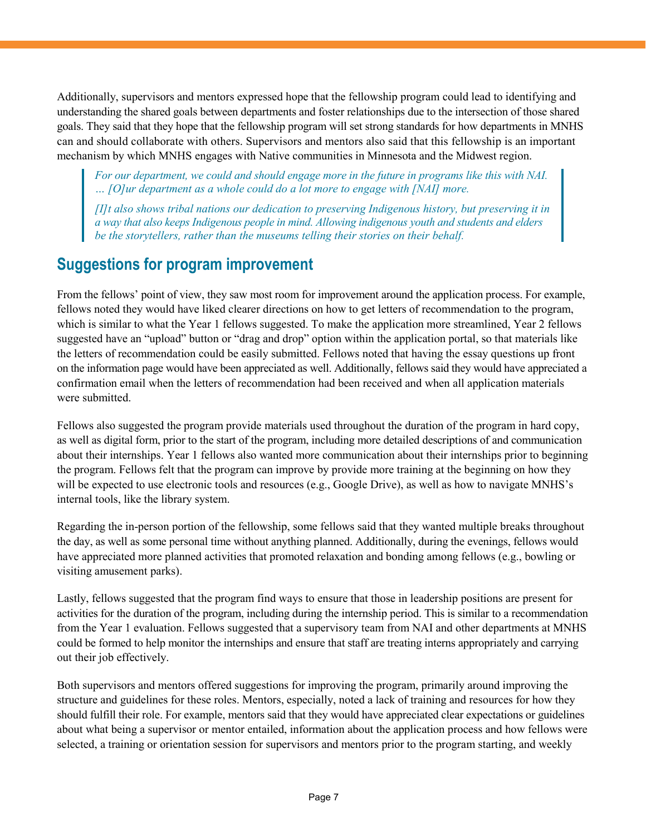Additionally, supervisors and mentors expressed hope that the fellowship program could lead to identifying and understanding the shared goals between departments and foster relationships due to the intersection of those shared goals. They said that they hope that the fellowship program will set strong standards for how departments in MNHS can and should collaborate with others. Supervisors and mentors also said that this fellowship is an important mechanism by which MNHS engages with Native communities in Minnesota and the Midwest region.

*For our department, we could and should engage more in the future in programs like this with NAI. … [O]ur department as a whole could do a lot more to engage with [NAI] more.*

*[I]t also shows tribal nations our dedication to preserving Indigenous history, but preserving it in a way that also keeps Indigenous people in mind. Allowing indigenous youth and students and elders be the storytellers, rather than the museums telling their stories on their behalf.*

## **Suggestions for program improvement**

From the fellows' point of view, they saw most room for improvement around the application process. For example, fellows noted they would have liked clearer directions on how to get letters of recommendation to the program, which is similar to what the Year 1 fellows suggested. To make the application more streamlined, Year 2 fellows suggested have an "upload" button or "drag and drop" option within the application portal, so that materials like the letters of recommendation could be easily submitted. Fellows noted that having the essay questions up front on the information page would have been appreciated as well. Additionally, fellows said they would have appreciated a confirmation email when the letters of recommendation had been received and when all application materials were submitted.

Fellows also suggested the program provide materials used throughout the duration of the program in hard copy, as well as digital form, prior to the start of the program, including more detailed descriptions of and communication about their internships. Year 1 fellows also wanted more communication about their internships prior to beginning the program. Fellows felt that the program can improve by provide more training at the beginning on how they will be expected to use electronic tools and resources (e.g., Google Drive), as well as how to navigate MNHS's internal tools, like the library system.

Regarding the in-person portion of the fellowship, some fellows said that they wanted multiple breaks throughout the day, as well as some personal time without anything planned. Additionally, during the evenings, fellows would have appreciated more planned activities that promoted relaxation and bonding among fellows (e.g., bowling or visiting amusement parks).

Lastly, fellows suggested that the program find ways to ensure that those in leadership positions are present for activities for the duration of the program, including during the internship period. This is similar to a recommendation from the Year 1 evaluation. Fellows suggested that a supervisory team from NAI and other departments at MNHS could be formed to help monitor the internships and ensure that staff are treating interns appropriately and carrying out their job effectively.

Both supervisors and mentors offered suggestions for improving the program, primarily around improving the structure and guidelines for these roles. Mentors, especially, noted a lack of training and resources for how they should fulfill their role. For example, mentors said that they would have appreciated clear expectations or guidelines about what being a supervisor or mentor entailed, information about the application process and how fellows were selected, a training or orientation session for supervisors and mentors prior to the program starting, and weekly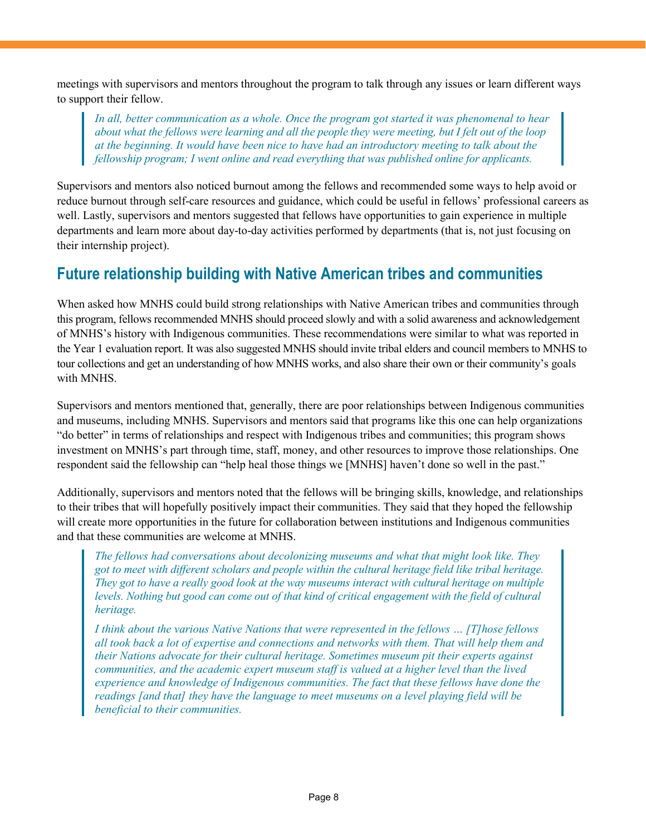meetings with supervisors and mentors throughout the program to talk through any issues or learn different ways to support their fellow.

*In all, better communication as a whole. Once the program got started it was phenomenal to hear about what the fellows were learning and all the people they were meeting, but I felt out of the loop at the beginning. It would have been nice to have had an introductory meeting to talk about the fellowship program; I went online and read everything that was published online for applicants.*

Supervisors and mentors also noticed burnout among the fellows and recommended some ways to help avoid or reduce burnout through self-care resources and guidance, which could be useful in fellows' professional careers as well. Lastly, supervisors and mentors suggested that fellows have opportunities to gain experience in multiple departments and learn more about day-to-day activities performed by departments (that is, not just focusing on their internship project).

## **Future relationship building with Native American tribes and communities**

When asked how MNHS could build strong relationships with Native American tribes and communities through this program, fellows recommended MNHS should proceed slowly and with a solid awareness and acknowledgement of MNHS's history with Indigenous communities. These recommendations were similar to what was reported in the Year 1 evaluation report. It was also suggested MNHS should invite tribal elders and council members to MNHS to tour collections and get an understanding of how MNHS works, and also share their own or their community's goals with MNHS.

Supervisors and mentors mentioned that, generally, there are poor relationships between Indigenous communities and museums, including MNHS. Supervisors and mentors said that programs like this one can help organizations "do better" in terms of relationships and respect with Indigenous tribes and communities; this program shows investment on MNHS's part through time, staff, money, and other resources to improve those relationships. One respondent said the fellowship can "help heal those things we [MNHS] haven't done so well in the past."

Additionally, supervisors and mentors noted that the fellows will be bringing skills, knowledge, and relationships to their tribes that will hopefully positively impact their communities. They said that they hoped the fellowship will create more opportunities in the future for collaboration between institutions and Indigenous communities and that these communities are welcome at MNHS.

*The fellows had conversations about decolonizing museums and what that might look like. They got to meet with different scholars and people within the cultural heritage field like tribal heritage. They got to have a really good look at the way museums interact with cultural heritage on multiple levels. Nothing but good can come out of that kind of critical engagement with the field of cultural heritage.* 

*I think about the various Native Nations that were represented in the fellows … [T]hose fellows all took back a lot of expertise and connections and networks with them. That will help them and their Nations advocate for their cultural heritage. Sometimes museum pit their experts against communities, and the academic expert museum staff is valued at a higher level than the lived experience and knowledge of Indigenous communities. The fact that these fellows have done the readings [and that] they have the language to meet museums on a level playing field will be beneficial to their communities.*